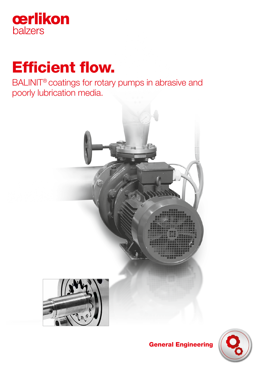

# Efficient flow.

BALINIT® coatings for rotary pumps in abrasive and poorly lubrication media.